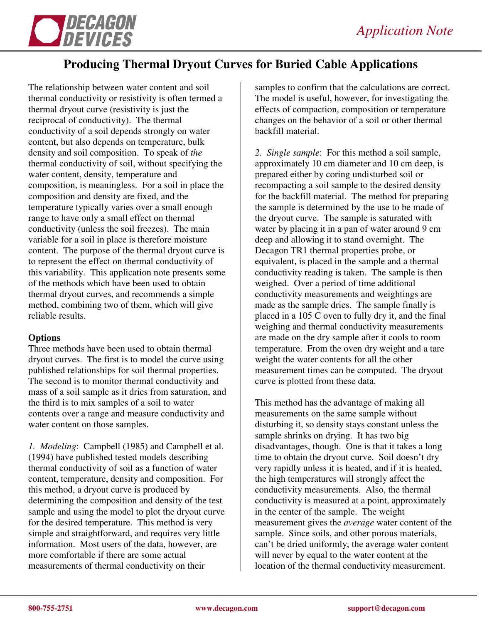

# **Producing Thermal Dryout Curves for Buried Cable Applications**

The relationship between water content and soil thermal conductivity or resistivity is often termed a thermal dryout curve (resistivity is just the reciprocal of conductivity). The thermal conductivity of a soil depends strongly on water content, but also depends on temperature, bulk density and soil composition. To speak of *the* thermal conductivity of soil, without specifying the water content, density, temperature and composition, is meaningless. For a soil in place the composition and density are fixed, and the temperature typically varies over a small enough range to have only a small effect on thermal conductivity (unless the soil freezes). The main variable for a soil in place is therefore moisture content. The purpose of the thermal dryout curve is to represent the effect on thermal conductivity of this variability. This application note presents some of the methods which have been used to obtain thermal dryout curves, and recommends a simple method, combining two of them, which will give reliable results.

## **Options**

Three methods have been used to obtain thermal dryout curves. The first is to model the curve using published relationships for soil thermal properties. The second is to monitor thermal conductivity and mass of a soil sample as it dries from saturation, and the third is to mix samples of a soil to water contents over a range and measure conductivity and water content on those samples.

*1. Modeling*: Campbell (1985) and Campbell et al. (1994) have published tested models describing thermal conductivity of soil as a function of water content, temperature, density and composition. For this method, a dryout curve is produced by determining the composition and density of the test sample and using the model to plot the dryout curve for the desired temperature. This method is very simple and straightforward, and requires very little information. Most users of the data, however, are more comfortable if there are some actual measurements of thermal conductivity on their

samples to confirm that the calculations are correct. The model is useful, however, for investigating the effects of compaction, composition or temperature changes on the behavior of a soil or other thermal backfill material.

*2. Single sample*: For this method a soil sample, approximately 10 cm diameter and 10 cm deep, is prepared either by coring undisturbed soil or recompacting a soil sample to the desired density for the backfill material. The method for preparing the sample is determined by the use to be made of the dryout curve. The sample is saturated with water by placing it in a pan of water around 9 cm deep and allowing it to stand overnight. The Decagon TR1 thermal properties probe, or equivalent, is placed in the sample and a thermal conductivity reading is taken. The sample is then weighed. Over a period of time additional conductivity measurements and weightings are made as the sample dries. The sample finally is placed in a 105 C oven to fully dry it, and the final weighing and thermal conductivity measurements are made on the dry sample after it cools to room temperature. From the oven dry weight and a tare weight the water contents for all the other measurement times can be computed. The dryout curve is plotted from these data.

This method has the advantage of making all measurements on the same sample without disturbing it, so density stays constant unless the sample shrinks on drying. It has two big disadvantages, though. One is that it takes a long time to obtain the dryout curve. Soil doesn't dry very rapidly unless it is heated, and if it is heated, the high temperatures will strongly affect the conductivity measurements. Also, the thermal conductivity is measured at a point, approximately in the center of the sample. The weight measurement gives the *average* water content of the sample. Since soils, and other porous materials, can't be dried uniformly, the average water content will never by equal to the water content at the location of the thermal conductivity measurement.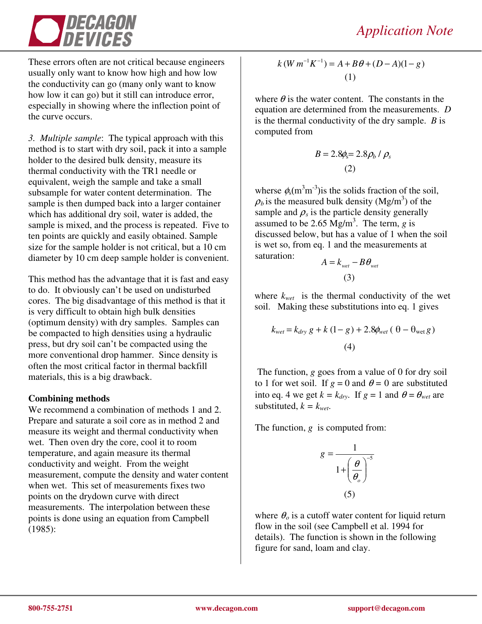

These errors often are not critical because engineers usually only want to know how high and how low the conductivity can go (many only want to know how low it can go) but it still can introduce error, especially in showing where the inflection point of the curve occurs.

*3. Multiple sample*: The typical approach with this method is to start with dry soil, pack it into a sample holder to the desired bulk density, measure its thermal conductivity with the TR1 needle or equivalent, weigh the sample and take a small subsample for water content determination. The sample is then dumped back into a larger container which has additional dry soil, water is added, the sample is mixed, and the process is repeated. Five to ten points are quickly and easily obtained. Sample size for the sample holder is not critical, but a 10 cm diameter by 10 cm deep sample holder is convenient.

This method has the advantage that it is fast and easy to do. It obviously can't be used on undisturbed cores. The big disadvantage of this method is that it is very difficult to obtain high bulk densities (optimum density) with dry samples. Samples can be compacted to high densities using a hydraulic press, but dry soil can't be compacted using the more conventional drop hammer. Since density is often the most critical factor in thermal backfill materials, this is a big drawback.

## **Combining methods**

We recommend a combination of methods 1 and 2. Prepare and saturate a soil core as in method 2 and measure its weight and thermal conductivity when wet. Then oven dry the core, cool it to room temperature, and again measure its thermal conductivity and weight. From the weight measurement, compute the density and water content when wet. This set of measurements fixes two points on the drydown curve with direct measurements. The interpolation between these points is done using an equation from Campbell (1985):

$$
k(W m^{-1} K^{-1}) = A + B\theta + (D - A)(1 - g)
$$
  
(1)

where  $\theta$  is the water content. The constants in the equation are determined from the measurements. *D* is the thermal conductivity of the dry sample. *B* is computed from

$$
B = 2.8\phi_s = 2.8\rho_b / \rho_s
$$
  
(2)

wherse  $\phi_s$ (m<sup>3</sup>m<sup>-3</sup>) is the solids fraction of the soil,  $\rho_b$  is the measured bulk density (Mg/m<sup>3</sup>) of the sample and  $\rho_s$  is the particle density generally assumed to be 2.65 Mg/m<sup>3</sup>. The term,  $g$  is discussed below, but has a value of 1 when the soil is wet so, from eq. 1 and the measurements at saturation:

$$
A = k_{wet} - B\theta_{wet}
$$
  
(3)

where  $k_{wet}$  is the thermal conductivity of the wet soil. Making these substitutions into eq. 1 gives

$$
k_{wet} = k_{dry} g + k (1 - g) + 2.8\phi_{wet} ( \theta - \theta_{wet} g)
$$
  
(4)

The function, *g* goes from a value of 0 for dry soil to 1 for wet soil. If  $g = 0$  and  $\theta = 0$  are substituted into eq. 4 we get  $k = k_{\text{dry}}$ . If  $g = 1$  and  $\theta = \theta_{\text{wet}}$  are substituted,  $k = k_{wet}$ .

The function, *g* is computed from:

$$
g = \frac{1}{1 + \left(\frac{\theta}{\theta_o}\right)^{-5}}
$$
  
(5)

where  $\theta_o$  is a cutoff water content for liquid return flow in the soil (see Campbell et al. 1994 for details). The function is shown in the following figure for sand, loam and clay.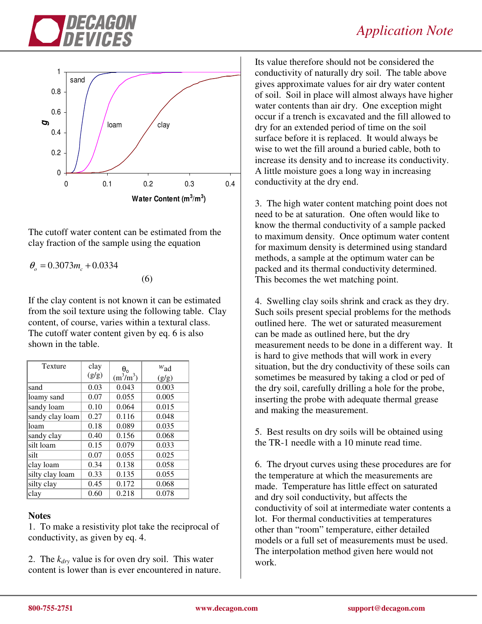



The cutoff water content can be estimated from the clay fraction of the sample using the equation

 $\theta_{o} = 0.3073 m_{c} + 0.0334$ 

(6)

If the clay content is not known it can be estimated from the soil texture using the following table. Clay content, of course, varies within a textural class. The cutoff water content given by eq. 6 is also shown in the table.

| <b>Texture</b>  | clay<br>(g/g) | $\theta_{o}$<br>$(m^3/m^3)$ | $w_{ad}$<br>(g/g) |
|-----------------|---------------|-----------------------------|-------------------|
| sand            | 0.03          | 0.043                       | 0.003             |
| loamy sand      | 0.07          | 0.055                       | 0.005             |
| sandy loam      | 0.10          | 0.064                       | 0.015             |
| sandy clay loam | 0.27          | 0.116                       | 0.048             |
| loam            | 0.18          | 0.089                       | 0.035             |
| sandy clay      | 0.40          | 0.156                       | 0.068             |
| silt loam       | 0.15          | 0.079                       | 0.033             |
| silt            | 0.07          | 0.055                       | 0.025             |
| clay loam       | 0.34          | 0.138                       | 0.058             |
| silty clay loam | 0.33          | 0.135                       | 0.055             |
| silty clay      | 0.45          | 0.172                       | 0.068             |
| clay            | 0.60          | 0.218                       | 0.078             |

# **Notes**

1. To make a resistivity plot take the reciprocal of conductivity, as given by eq. 4.

2. The *kdry* value is for oven dry soil. This water content is lower than is ever encountered in nature.

Its value therefore should not be considered the conductivity of naturally dry soil. The table above gives approximate values for air dry water content of soil. Soil in place will almost always have higher water contents than air dry. One exception might occur if a trench is excavated and the fill allowed to dry for an extended period of time on the soil surface before it is replaced. It would always be wise to wet the fill around a buried cable, both to increase its density and to increase its conductivity. A little moisture goes a long way in increasing conductivity at the dry end.

3. The high water content matching point does not need to be at saturation. One often would like to know the thermal conductivity of a sample packed to maximum density. Once optimum water content for maximum density is determined using standard methods, a sample at the optimum water can be packed and its thermal conductivity determined. This becomes the wet matching point.

4. Swelling clay soils shrink and crack as they dry. Such soils present special problems for the methods outlined here. The wet or saturated measurement can be made as outlined here, but the dry measurement needs to be done in a different way. It is hard to give methods that will work in every situation, but the dry conductivity of these soils can sometimes be measured by taking a clod or ped of the dry soil, carefully drilling a hole for the probe, inserting the probe with adequate thermal grease and making the measurement.

5. Best results on dry soils will be obtained using the TR-1 needle with a 10 minute read time.

6. The dryout curves using these procedures are for the temperature at which the measurements are made. Temperature has little effect on saturated and dry soil conductivity, but affects the conductivity of soil at intermediate water contents a lot. For thermal conductivities at temperatures other than "room" temperature, either detailed models or a full set of measurements must be used. The interpolation method given here would not work.